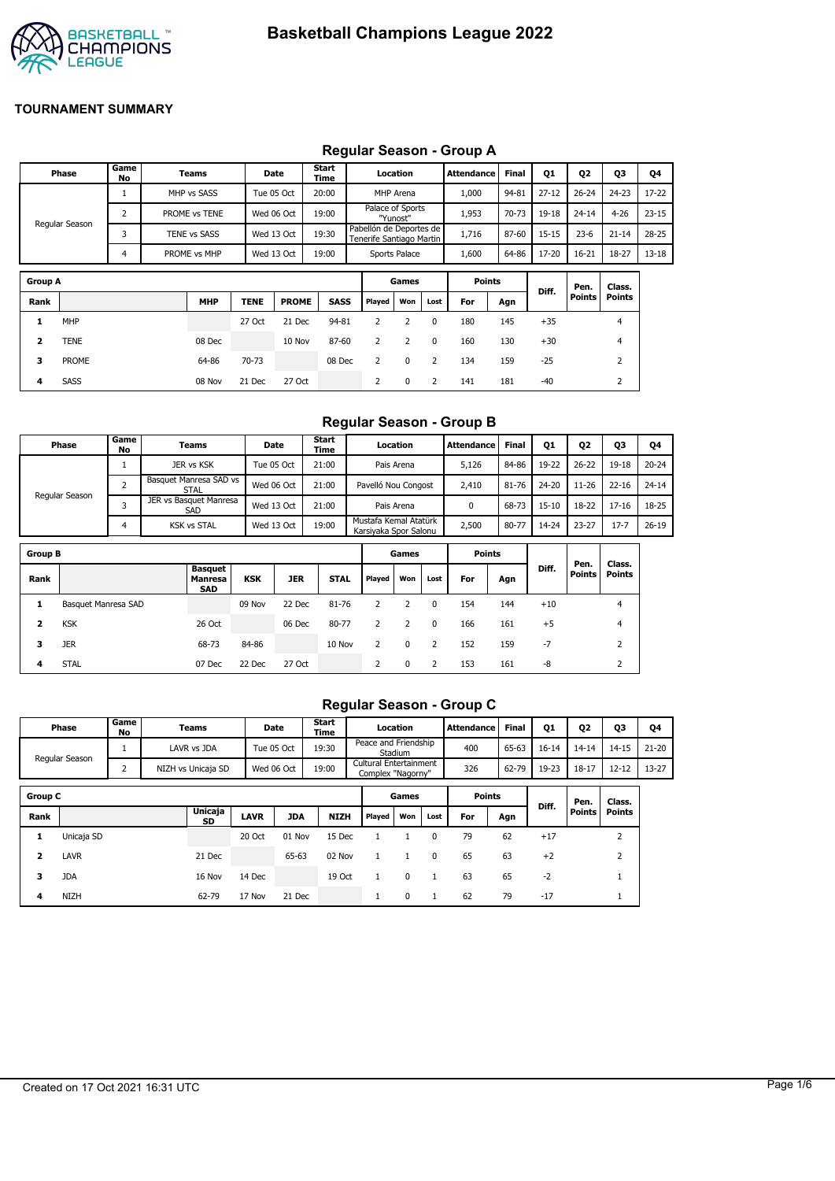

#### **Group A Games Points Diff. Pen. Points Class. Points Rank MHP TENE PROME SASS Played Won Lost For Agn 1** MHP 27 Oct 21 Dec 94-81 2 2 0 180 145 +35 4 **2** TENE 08 Dec 10 Nov 87-60 2 2 0 160 130 +30 4 **Phase Game No Teams Date Start Time Location Attendance Final Q1 Q2 Q3 Q4** Regular Season 1 MHP vs SASS Tue 05 Oct T 20:00 MHP Arena T 1,000 94-81 27-12 T 26-24 T 24-23 T 17-22 2 PROME vs TENE Wed 06 Oct 19:00 Palace of Sports "Yunost" Pabellón de Deportes de 1,953 70-73 19-18 24-14 4-26 23-15 3 TENE vs SASS Wed 13 Oct 19:30 Tenerife Santiago Martin 1,716 87-60 15-15 23-6 21-14 28-25 4 PROME vs MHP Wed 13 Oct 19:00 Sports Palace 1,600 64-86 17-20 16-21 18-27 13-18

**3** PROME 64-86 70-73 08 Dec 2 0 2 134 159 -25 2 **4** SASS 08 Nov 21 Dec 27 Oct 2 0 2 141 181 -40 2

## **Regular Season - Group A**

#### **Regular Season - Group B**

|                         | Phase               | Game<br>No     |  | Teams                                   |            | Date       | Start<br>Time |                                                | Location       |              | <b>Attendance</b> | <b>Final</b> | 01        | Q <sub>2</sub> | <b>Q3</b>               | Q4        |
|-------------------------|---------------------|----------------|--|-----------------------------------------|------------|------------|---------------|------------------------------------------------|----------------|--------------|-------------------|--------------|-----------|----------------|-------------------------|-----------|
|                         |                     | $\mathbf{1}$   |  | JER vs KSK                              |            | Tue 05 Oct | 21:00         | Pais Arena                                     |                |              | 5,126             | 84-86        | 19-22     | $26 - 22$      | 19-18                   | $20 - 24$ |
|                         |                     | $\overline{2}$ |  | Basquet Manresa SAD vs<br><b>STAL</b>   |            | Wed 06 Oct | 21:00         | Pavelló Nou Congost                            |                |              | 2,410             | 81-76        | 24-20     | $11 - 26$      | $22 - 16$               | $24 - 14$ |
|                         | Regular Season      | 3              |  | JER vs Basquet Manresa<br>SAD           |            | Wed 13 Oct | 21:00         |                                                | Pais Arena     |              | 0                 | 68-73        | $15 - 10$ | 18-22          | $17 - 16$               | 18-25     |
|                         |                     | 4              |  | <b>KSK vs STAL</b>                      |            | Wed 13 Oct | 19:00         | Mustafa Kemal Atatürk<br>Karsiyaka Spor Salonu |                |              | 2,500             | 80-77        | 14-24     | $23 - 27$      | $17 - 7$                | $26 - 19$ |
| <b>Group B</b>          |                     |                |  |                                         |            |            |               |                                                | Games          |              | <b>Points</b>     |              |           |                |                         |           |
| Rank                    |                     |                |  | <b>Basquet</b><br>Manresa<br><b>SAD</b> | <b>KSK</b> | <b>JER</b> | <b>STAL</b>   | Played                                         | Won            | Lost         | For               | Agn          | Diff.     | Pen.<br>Points | Class.<br><b>Points</b> |           |
| 1                       | Basquet Manresa SAD |                |  |                                         | 09 Nov     | 22 Dec     | 81-76         | 2                                              | 2              | 0            | 154               | 144          | $+10$     |                | $\overline{4}$          |           |
| $\overline{\mathbf{2}}$ | <b>KSK</b>          |                |  | 26 Oct                                  |            | 06 Dec     | 80-77         | $\overline{2}$                                 | $\overline{2}$ | $\mathbf{0}$ | 166               | 161          | $+5$      |                | $\overline{4}$          |           |
| з                       | <b>JER</b>          |                |  | 68-73                                   | 84-86      |            | 10 Nov        | 2                                              | $\mathbf 0$    | 2            | 152               | 159          | $-7$      |                | 2                       |           |
| 4                       | <b>STAL</b>         |                |  | 07 Dec                                  | 22 Dec     | 27 Oct     |               | 2                                              | $\mathbf 0$    | 2            | 153               | 161          | -8        |                | 2                       |           |

#### **Regular Season - Group C**

|                | Game<br>Phase<br><b>Teams</b><br>No |                |  |                    | Start<br>Date<br>Time |            |             | Location               |                   | <b>Attendance</b> | <b>Final</b>  | <b>Q1</b> | Q2        | 03            | Q4             |           |
|----------------|-------------------------------------|----------------|--|--------------------|-----------------------|------------|-------------|------------------------|-------------------|-------------------|---------------|-----------|-----------|---------------|----------------|-----------|
|                | Regular Season                      |                |  | LAVR vs JDA        | Tue 05 Oct            |            | 19:30       | Peace and Friendship   | Stadium           |                   | 400           | 65-63     | $16 - 14$ | $14 - 14$     | $14 - 15$      | $21 - 20$ |
|                |                                     | $\overline{2}$ |  | NIZH vs Unicaja SD | Wed 06 Oct            |            | 19:00       | Cultural Entertainment | Complex "Nagorny" |                   | 326           | 62-79     | 19-23     | $18 - 17$     | $12 - 12$      | $13 - 27$ |
| <b>Group C</b> |                                     |                |  |                    |                       |            |             |                        | Games             |                   | <b>Points</b> |           |           | Pen.          | Class.         |           |
| Rank           |                                     |                |  | Unicaja<br>SD      | <b>LAVR</b>           | <b>JDA</b> | <b>NIZH</b> | Played                 | Won               | Lost              | For           | Agn       | Diff.     | <b>Points</b> | Points         |           |
| 1              | Unicaja SD                          |                |  |                    | 20 Oct                | 01 Nov     | 15 Dec      |                        |                   | $\mathbf{0}$      | 79            | 62        | $+17$     |               | $\overline{2}$ |           |
| 2              | LAVR                                |                |  | 21 Dec             |                       | 65-63      | 02 Nov      | 1                      |                   | $\Omega$          | 65            | 63        | $+2$      |               | $\overline{2}$ |           |
| 3              | <b>JDA</b>                          |                |  | 16 Nov             | 14 Dec                |            | 19 Oct      | 1                      | 0                 |                   | 63            | 65        | $-2$      |               |                |           |
| 4              | <b>NIZH</b>                         |                |  | 62-79              | 17 Nov                | 21 Dec     |             | $\mathbf{1}$           | 0                 |                   | 62            | 79        | $-17$     |               |                |           |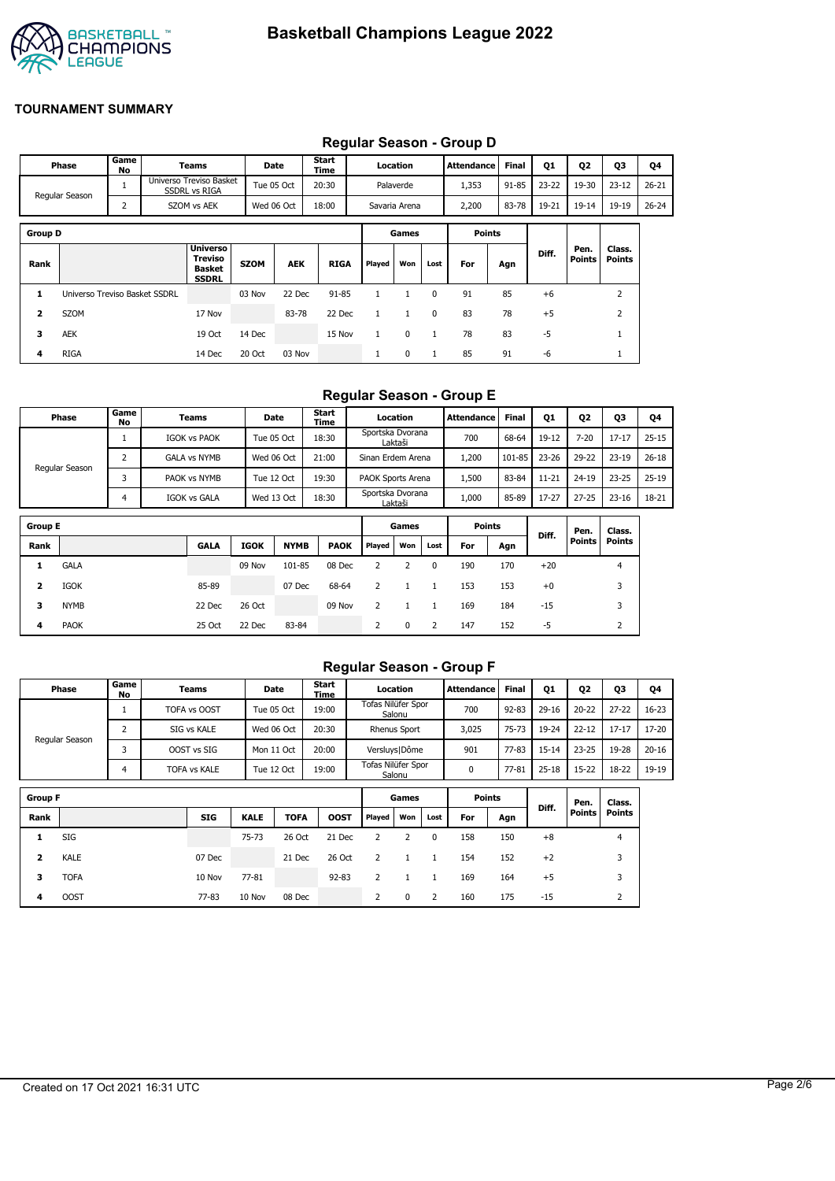

|                |                               |            |             |                                                             |             |            |               |              |              |              | Requiar Season - Group D |              |           |                |                  |           |
|----------------|-------------------------------|------------|-------------|-------------------------------------------------------------|-------------|------------|---------------|--------------|--------------|--------------|--------------------------|--------------|-----------|----------------|------------------|-----------|
|                | Phase                         | Game<br>No |             | Teams                                                       |             | Date       | Start<br>Time |              | Location     |              | <b>Attendance</b>        | <b>Final</b> | <b>Q1</b> | Q <sub>2</sub> | Q3               | Q4        |
|                | Regular Season                |            |             | Universo Treviso Basket<br><b>SSDRL vs RIGA</b>             |             | Tue 05 Oct | 20:30         | Palaverde    |              |              | 1,353                    | 91-85        | $23 - 22$ | 19-30          | $23 - 12$        | $26 - 21$ |
|                | $\overline{2}$                |            | SZOM vs AEK | Wed 06 Oct                                                  |             | 18:00      | Savaria Arena |              | 2,200        | 83-78        | 19-21                    | $19 - 14$    | 19-19     | $26 - 24$      |                  |           |
| <b>Group D</b> |                               |            |             |                                                             |             |            |               |              | Games        |              | <b>Points</b>            |              |           |                |                  |           |
| Rank           |                               |            |             | <b>Universo</b><br>Treviso<br><b>Basket</b><br><b>SSDRL</b> | <b>SZOM</b> | <b>AEK</b> | <b>RIGA</b>   | Played       | Won          | Lost         | For                      | Agn          | Diff.     | Pen.<br>Points | Class.<br>Points |           |
| 1              | Universo Treviso Basket SSDRL |            |             |                                                             | 03 Nov      | 22 Dec     | $91 - 85$     | $\mathbf{1}$ | 1            | $\mathbf{0}$ | 91                       | 85           | $+6$      |                | $\overline{2}$   |           |
| 2              | SZOM                          |            |             | 17 Nov                                                      |             | 83-78      | 22 Dec        | $\mathbf{1}$ | $\mathbf{1}$ | $\mathbf{0}$ | 83                       | 78           | $+5$      |                | $\overline{2}$   |           |
| 3              | AEK                           |            |             | 19 Oct                                                      | 14 Dec      |            | 15 Nov        | $\mathbf{1}$ | 0            | 1            | 78                       | 83           | $-5$      |                | $\mathbf{1}$     |           |
| 4              | <b>RIGA</b>                   |            |             | 14 Dec                                                      | 20 Oct      | 03 Nov     |               | л.           | 0            | $\mathbf{1}$ | 85                       | 91           | -6        |                | T                |           |

## **Regular Season - Group D**

#### **Regular Season - Group E**

| Phase          | Game<br>No | Teams               | <b>Date</b> | <b>Start</b><br>Time | Location                    | Attendance | <b>Final</b> | Q1        | Q <sub>2</sub> | Q3        | Q4        |
|----------------|------------|---------------------|-------------|----------------------|-----------------------------|------------|--------------|-----------|----------------|-----------|-----------|
|                |            | <b>IGOK vs PAOK</b> | Tue 05 Oct  | 18:30                | Sportska Dvorana<br>Laktaši | 700        | 68-64        | 19-12     | $7 - 20$       | $17 - 17$ | $25 - 15$ |
|                |            | <b>GALA vs NYMB</b> | Wed 06 Oct  | 21:00                | Sinan Erdem Arena           | 200،       | 101-85       | 23-26     | 29-22          | $23 - 19$ | $26 - 18$ |
| Regular Season |            | PAOK vs NYMB        | Tue 12 Oct  | 19:30                | PAOK Sports Arena           | 500ء       | 83-84        | $11 - 21$ | $24 - 19$      | $23 - 25$ | $25 - 19$ |
|                |            | IGOK vs GALA        | Wed 13 Oct  | 18:30                | Sportska Dvorana<br>Laktaši | 1,000      | 85-89        | 17-27     | $27 - 25$      | $23 - 16$ | 18-21     |

| <b>Group E</b> |             |             |             |             |             |        | Games |      | <b>Points</b> |     |       | Pen.          | Class.        |
|----------------|-------------|-------------|-------------|-------------|-------------|--------|-------|------|---------------|-----|-------|---------------|---------------|
| Rank           |             | <b>GALA</b> | <b>IGOK</b> | <b>NYMB</b> | <b>PAOK</b> | Played | Won   | Lost | For           | Agn | Diff. | <b>Points</b> | <b>Points</b> |
|                | <b>GALA</b> |             | 09 Nov      | 101-85      | 08 Dec      |        |       | 0    | 190           | 170 | $+20$ |               | 4             |
| 2              | IGOK        | 85-89       |             | 07 Dec      | 68-64       |        |       |      | 153           | 153 | $+0$  |               | 3             |
| 3              | <b>NYMB</b> | 22 Dec      | 26 Oct      |             | 09 Nov      |        |       |      | 169           | 184 | $-15$ |               | 3             |
| 4              | <b>PAOK</b> | 25 Oct      | 22 Dec      | 83-84       |             | 2      | 0     | 2    | 147           | 152 | -5    |               | ∠             |

#### **Regular Season - Group F**

|                | Phase          | Game<br>No | Teams               |             | Date        | Start<br>Time |                    | Location            |              | Attendance    | <b>Final</b> | <b>Q1</b> | 02            | Q3        | Q4        |
|----------------|----------------|------------|---------------------|-------------|-------------|---------------|--------------------|---------------------|--------------|---------------|--------------|-----------|---------------|-----------|-----------|
|                |                |            | TOFA vs OOST        |             | Tue 05 Oct  | 19:00         | Tofas Nilüfer Spor | Salonu              |              | 700           | $92 - 83$    | $29-16$   | $20 - 22$     | $27 - 22$ | $16 - 23$ |
|                |                | 2          | SIG vs KALE         |             | Wed 06 Oct  | 20:30         |                    | <b>Rhenus Sport</b> |              | 3,025         | 75-73        | 19-24     | $22 - 12$     | $17 - 17$ | 17-20     |
|                | Regular Season |            | OOST vs SIG         |             | Mon 11 Oct  | 20:00         |                    | Versluys   Dôme     |              | 901           | $77 - 83$    | $15 - 14$ | $23 - 25$     | 19-28     | $20 - 16$ |
|                | 4              |            | <b>TOFA vs KALE</b> |             | Tue 12 Oct  | 19:00         | Tofas Nilüfer Spor | Salonu              |              | 0             | 77-81        | $25 - 18$ | $15 - 22$     | 18-22     | 19-19     |
|                |                |            |                     |             |             |               |                    |                     |              |               |              |           |               |           |           |
| <b>Group F</b> |                |            |                     |             |             |               |                    | Games               |              | <b>Points</b> |              | Diff.     | Pen.          | Class.    |           |
| Rank           |                |            | <b>SIG</b>          | <b>KALE</b> | <b>TOFA</b> | <b>OOST</b>   | Played             | Won                 | Lost         | For           | Agn          |           | <b>Points</b> | Points    |           |
| 1              | SIG            |            |                     | $75 - 73$   | 26 Oct      | 21 Dec        | 2                  | 2                   | $\mathbf{0}$ | 158           | 150          | $+8$      |               | 4         |           |
| 2              | <b>KALE</b>    |            | 07 Dec              |             | 21 Dec      | 26 Oct        | 2                  | 1                   |              | 154           | 152          | $+2$      |               | 3         |           |
| 3              | <b>TOFA</b>    |            | 10 Nov              | 77-81       |             | $92 - 83$     | 2                  |                     |              | 169           | 164          | $+5$      |               | 3         |           |

**4** OOST 77-83 10 Nov 08 Dec 2 0 2 160 175 -15 2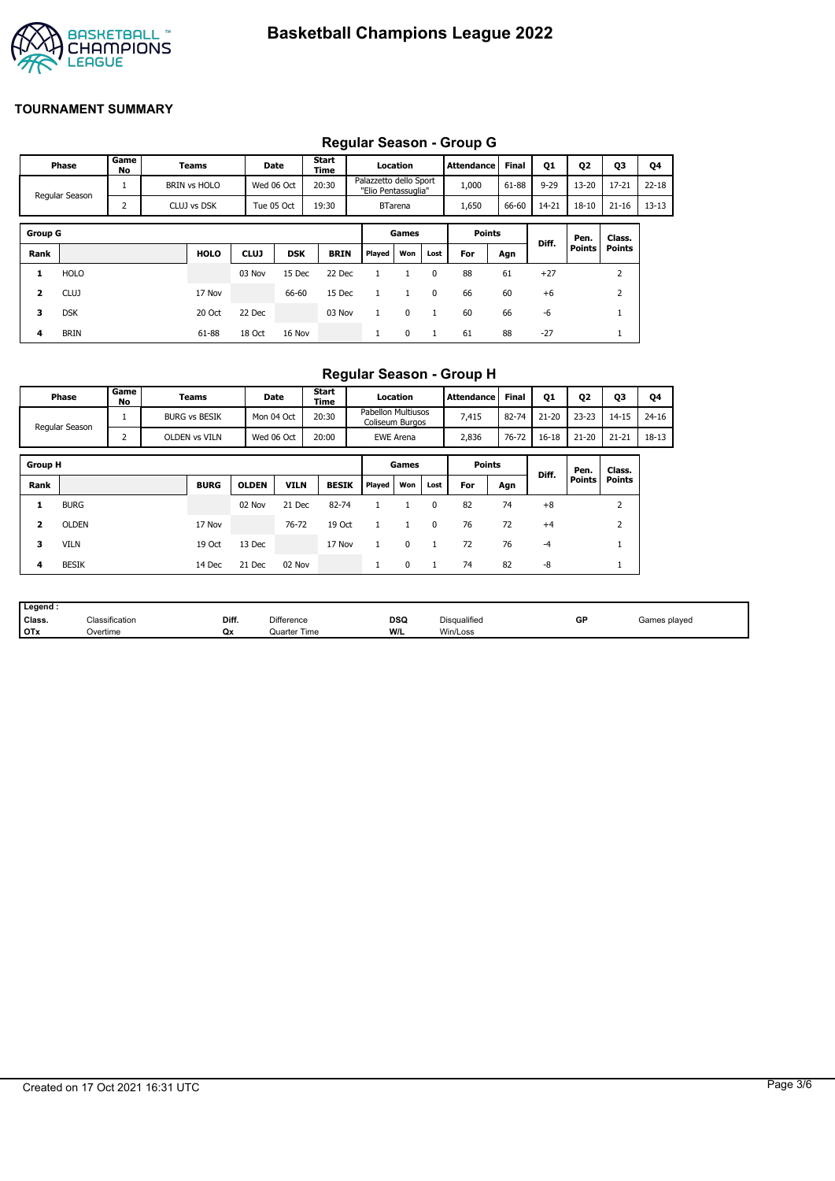

# **Regular Season - Group G**

|                |                     |            |                                                      |             |            |               |        |                                               |              | Regular Ocason - Oroup O |              |          |               |               |           |
|----------------|---------------------|------------|------------------------------------------------------|-------------|------------|---------------|--------|-----------------------------------------------|--------------|--------------------------|--------------|----------|---------------|---------------|-----------|
|                | Phase               | Game<br>No | Teams                                                |             | Date       | Start<br>Time |        | Location                                      |              | <b>Attendance</b>        | <b>Final</b> | Q1       | Q2            | <b>Q3</b>     | Q4        |
|                | 1<br>Regular Season |            | <b>BRIN vs HOLO</b>                                  |             | Wed 06 Oct |               |        | Palazzetto dello Sport<br>"Elio Pentassuglia" |              | 1,000                    | 61-88        | $9 - 29$ | $13 - 20$     | $17 - 21$     | $22 - 18$ |
|                |                     | 2          | 19:30<br>CLUJ vs DSK<br>Tue 05 Oct<br><b>BTarena</b> |             | 1,650      | 66-60         | 14-21  | $18 - 10$                                     | $21 - 16$    | $13 - 13$                |              |          |               |               |           |
|                |                     |            |                                                      |             |            |               |        |                                               |              |                          |              |          |               |               |           |
| <b>Group G</b> |                     |            |                                                      |             |            |               |        | Games                                         |              | <b>Points</b>            |              | Diff.    | Pen.          | Class.        |           |
| Rank           |                     |            | <b>HOLO</b>                                          | <b>CLUJ</b> | <b>DSK</b> | <b>BRIN</b>   | Played | Won                                           | Lost         | For                      | Agn          |          | <b>Points</b> | <b>Points</b> |           |
| 1              | <b>HOLO</b>         |            |                                                      | 03 Nov      | 15 Dec     | 22 Dec        |        |                                               | $\Omega$     | 88                       | 61           | $+27$    |               | 2             |           |
| 2              | <b>CLUJ</b>         |            | 17 Nov                                               |             | 66-60      | 15 Dec        |        |                                               | 0            | 66                       | 60           | $+6$     |               | 2             |           |
| 3              | <b>DSK</b>          |            | 20 Oct                                               | 22 Dec      |            | 03 Nov        |        | $\mathbf 0$                                   | $\mathbf{1}$ | 60                       | 66           | $-6$     |               |               |           |
| 4              | <b>BRIN</b>         |            | 61-88                                                | 18 Oct      | 16 Nov     |               |        | 0                                             | 1            | 61                       | 88           | $-27$    |               |               |           |

## **Regular Season - Group H**

|                | Phase          | Game<br>No | Teams                | Date         |             | <b>Start</b><br>Time |                                              | Location         |          | Attendance    | <b>Final</b> | Q1        | Q <sub>2</sub> | Q3            | Q4        |
|----------------|----------------|------------|----------------------|--------------|-------------|----------------------|----------------------------------------------|------------------|----------|---------------|--------------|-----------|----------------|---------------|-----------|
|                | Regular Season |            | <b>BURG vs BESIK</b> | Mon 04 Oct   |             | 20:30                | <b>Pabellon Multiusos</b><br>Coliseum Burgos |                  |          | 7,415         | 82-74        | $21 - 20$ | $23 - 23$      | $14 - 15$     | $24 - 16$ |
|                |                | 2          | OLDEN vs VILN        | Wed 06 Oct   |             | 20:00                |                                              | <b>EWE Arena</b> |          | 2,836         | 76-72        | $16 - 18$ | $21 - 20$      | $21 - 21$     | 18-13     |
| <b>Group H</b> |                |            |                      |              |             |                      |                                              | Games            |          | <b>Points</b> |              |           | Pen.           | Class.        |           |
| Rank           |                |            | <b>BURG</b>          | <b>OLDEN</b> | <b>VILN</b> | <b>BESIK</b>         | Played                                       | Won              | Lost     | For           | Agn          | Diff.     | Points         | <b>Points</b> |           |
| 1              | <b>BURG</b>    |            |                      | 02 Nov       | 21 Dec      | 82-74                |                                              |                  | $\Omega$ | 82            | 74           | $+8$      |                | 2             |           |
| $\overline{2}$ | <b>OLDEN</b>   |            | 17 Nov               |              | 76-72       | 19 Oct               |                                              |                  | $\Omega$ | 76            | 72           | $+4$      |                | 2             |           |
| з              | <b>VILN</b>    |            | 19 Oct               | 13 Dec       |             | 17 Nov               |                                              | $\Omega$         |          | 72            | 76           | $-4$      |                |               |           |
| 4              | <b>BESIK</b>   |            | 14 Dec               | 21 Dec       | 02 Nov      |                      | л.                                           | 0                |          | 74            | 82           | -8        |                | <b>T</b>      |           |

| Legend:    |                            |       |                     |                    |              |    |              |
|------------|----------------------------|-------|---------------------|--------------------|--------------|----|--------------|
| Class.     | <sup>∽เ</sup> assification | Diff. | <b>Difference</b>   | <b>DSQ</b><br>$ -$ | Disqualified | GP | Games played |
| <b>OTx</b> | Overtime                   | Qx    | <b>Quarter Time</b> | W/L                | Win/Loss     |    |              |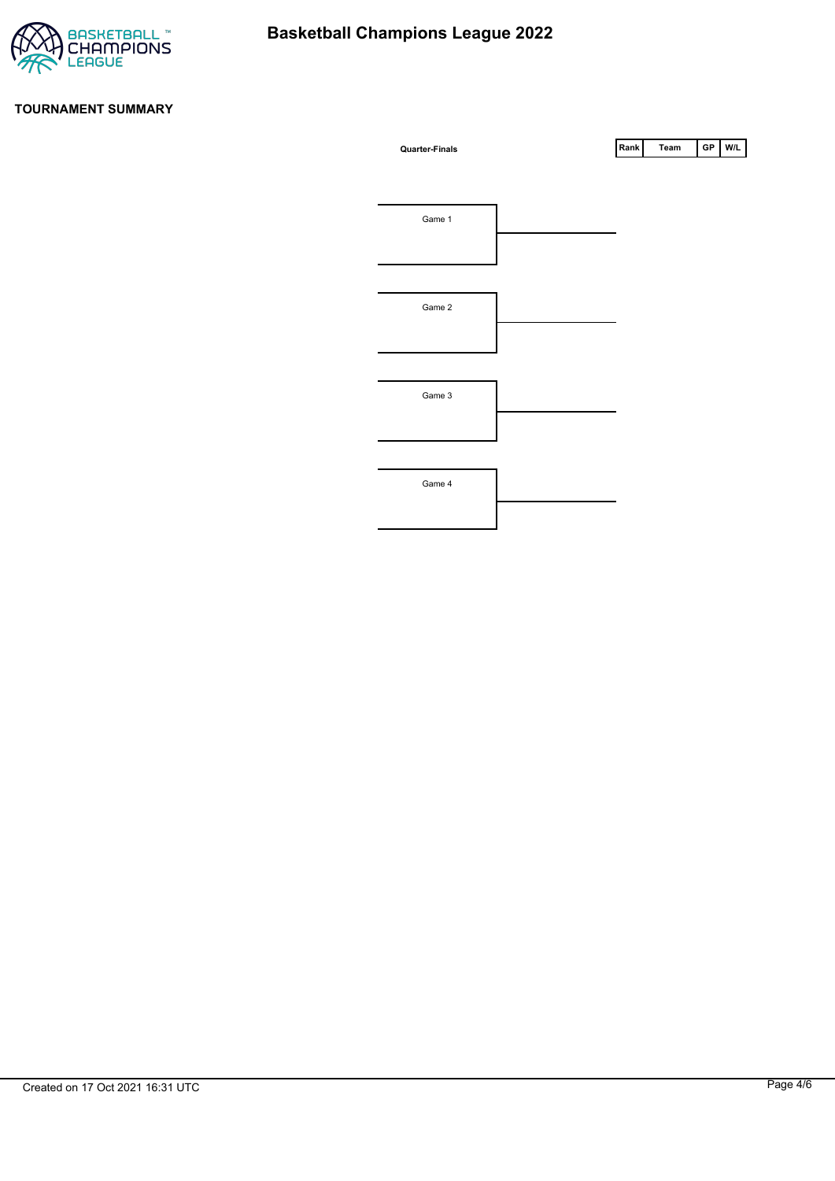

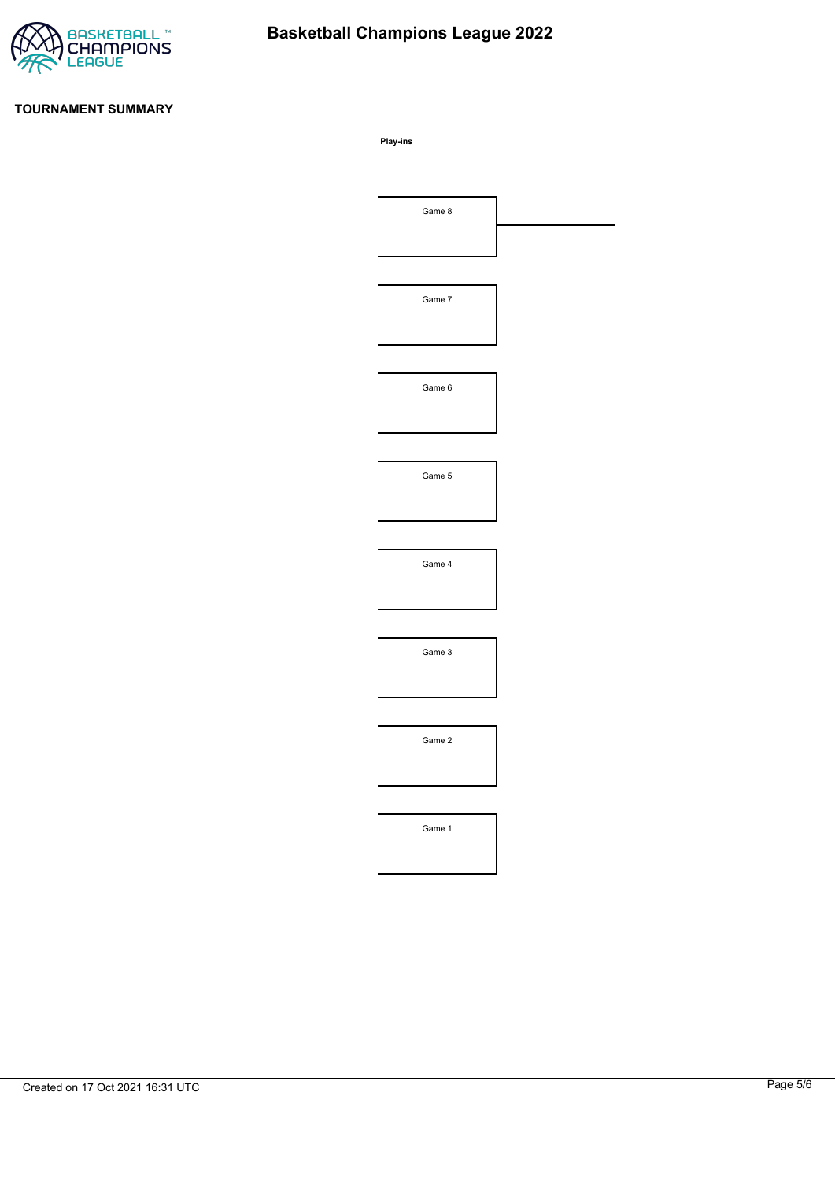

# **Basketball Champions League 2022**

#### **TOURNAMENT SUMMARY**

**Play-ins**

| Game 8 |  |
|--------|--|
|        |  |
|        |  |
| Game 7 |  |
|        |  |
|        |  |
| Game 6 |  |
|        |  |
|        |  |
| Game 5 |  |
|        |  |
|        |  |
| Game 4 |  |
|        |  |
|        |  |
| Game 3 |  |
|        |  |
|        |  |
| Game 2 |  |
|        |  |
|        |  |
| Game 1 |  |
|        |  |
|        |  |
|        |  |